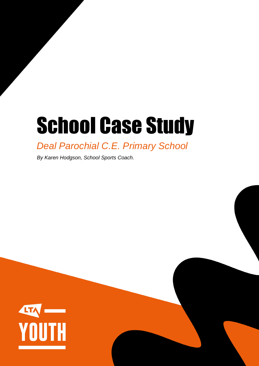# School Case Study

## *Deal Parochial C.E. Primary School*

*By Karen Hodgson, School Sports Coach.*

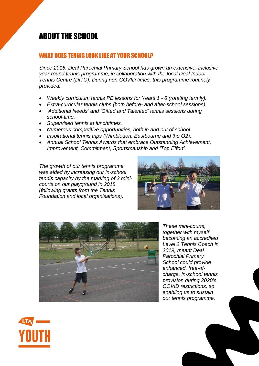### ABOUT THE SCHOOL

#### WHAT DOES TENNIS LOOK LIKE AT YOUR SCHOOL?

*Since 2016, Deal Parochial Primary School has grown an extensive, inclusive year-round tennis programme, in collaboration with the local Deal Indoor Tennis Centre (DITC). During non-COVID times, this programme routinely provided:*

- *Weekly curriculum tennis PE lessons for Years 1 - 6 (rotating termly).*
- *Extra-curricular tennis clubs (both before- and after-school sessions).*
- *'Additional Needs' and 'Gifted and Talented' tennis sessions during school-time.*
- *Supervised tennis at lunchtimes.*
- *Numerous competitive opportunities, both in and out of school.*
- *Inspirational tennis trips (Wimbledon, Eastbourne and the O2).*
- *Annual School Tennis Awards that embrace Outstanding Achievement, Improvement, Commitment, Sportsmanship and 'Top Effort'.*

*The growth of our tennis programme was aided by increasing our in-school tennis capacity by the marking of 3 minicourts on our playground in 2018 (following grants from the Tennis Foundation and local organisations).*





*These mini-courts, together with myself becoming an accredited Level 2 Tennis Coach in 2019, meant Deal Parochial Primary School could provide enhanced, free-ofcharge, in-school tennis provision during 2020's COVID restrictions, so enabling us to sustain our tennis programme.*

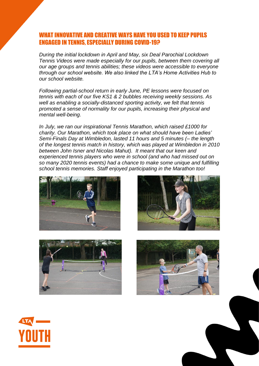#### VE AND CREATIVE WAYS HAVE YOU USED TO KEEP PUPILS ENGAGED IN TENNIS, ESPECIALLY DURING COVID-19?

*During the initial lockdown in April and May, six Deal Parochial Lockdown Tennis Videos were made especially for our pupils, between them covering all our age groups and tennis abilities; these videos were accessible to everyone through our school website. We also linked the LTA's Home Activities Hub to our school website.*

*Following partial-school return in early June, PE lessons were focused on tennis with each of our five KS1 & 2 bubbles receiving weekly sessions. As well as enabling a socially-distanced sporting activity, we felt that tennis promoted a sense of normality for our pupils, increasing their physical and mental well-being.*

*In July, we ran our inspirational Tennis Marathon, which raised £1000 for charity. Our Marathon, which took place on what should have been Ladies' Semi-Finals Day at Wimbledon, lasted 11 hours and 5 minutes (– the length of the longest tennis match in history, which was played at Wimbledon in 2010 between John Isner and Nicolas Mahut). It meant that our keen and experienced tennis players who were in school (and who had missed out on so many 2020 tennis events) had a chance to make some unique and fulfilling school tennis memories. Staff enjoyed participating in the Marathon too!*









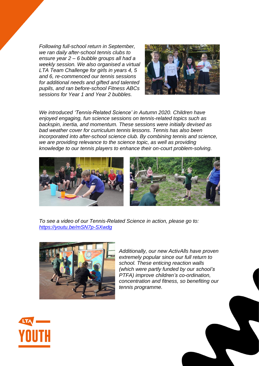*Following full-school return in September, we ran daily after-school tennis clubs to ensure year 2 – 6 bubble groups all had a weekly session. We also organised a virtual LTA Team Challenge for girls in years 4, 5 and 6, re-commenced our tennis sessions for additional needs and gifted and talented pupils, and ran before-school Fitness ABCs sessions for Year 1 and Year 2 bubbles.*



*We introduced 'Tennis-Related Science' in Autumn 2020. Children have enjoyed engaging, fun science sessions on tennis-related topics such as backspin, inertia, and momentum. These sessions were initially devised as bad weather cover for curriculum tennis lessons. Tennis has also been incorporated into after-school science club. By combining tennis and science, we are providing relevance to the science topic, as well as providing knowledge to our tennis players to enhance their on-court problem-solving.*



*To see a video of our Tennis-Related Science in action, please go to: <https://youtu.be/mSN7p-SXwdg>*



*Additionally, our new ActivAlls have proven extremely popular since our full return to school. These enticing reaction walls (which were partly funded by our school's PTFA) improve children's co-ordination, concentration and fitness, so benefiting our tennis programme.* 



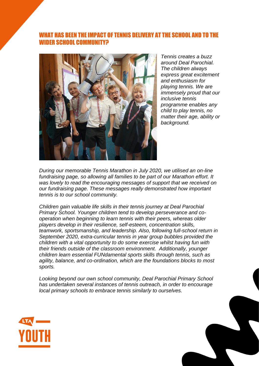#### WHAT HAS BEEN THE IMPACT OF TENNIS DELIVERY AT THE SCHOOL AND TO THE WIDER SCHOOL COMMUNITY?



*Tennis creates a buzz around Deal Parochial. The children always express great excitement and enthusiasm for playing tennis. We are immensely proud that our inclusive tennis programme enables any child to play tennis, no matter their age, ability or background.*

*During our memorable Tennis Marathon in July 2020, we utilised an on-line fundraising page, so allowing all families to be part of our Marathon effort. It was lovely to read the encouraging messages of support that we received on our fundraising page. These messages really demonstrated how important tennis is to our school community.*

*Children gain valuable life skills in their tennis journey at Deal Parochial Primary School. Younger children tend to develop perseverance and cooperation when beginning to learn tennis with their peers, whereas older players develop in their resilience, self-esteem, concentration skills, teamwork, sportsmanship, and leadership. Also, following full-school return in September 2020, extra-curricular tennis in year group bubbles provided the children with a vital opportunity to do some exercise whilst having fun with their friends outside of the classroom environment. Additionally, younger children learn essential FUNdamental sports skills through tennis, such as agility, balance, and co-ordination, which are the foundations blocks to most sports.*

*Looking beyond our own school community, Deal Parochial Primary School has undertaken several instances of tennis outreach, in order to encourage local primary schools to embrace tennis similarly to ourselves.*